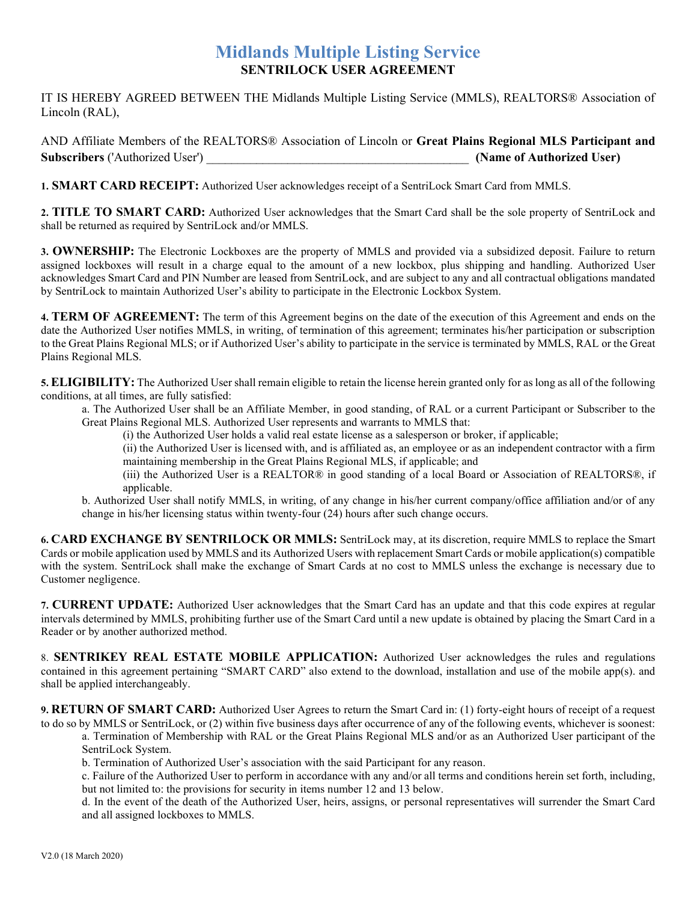## Midlands Multiple Listing Service SENTRILOCK USER AGREEMENT

IT IS HEREBY AGREED BETWEEN THE Midlands Multiple Listing Service (MMLS), REALTORS® Association of Lincoln (RAL),

AND Affiliate Members of the REALTORS® Association of Lincoln or Great Plains Regional MLS Participant and Subscribers ('Authorized User') \_\_\_\_\_\_\_\_\_\_\_\_\_\_\_\_\_\_\_\_\_\_\_\_\_\_\_\_\_\_\_\_\_\_\_\_\_\_\_\_\_\_ (Name of Authorized User)

1. **SMART CARD RECEIPT:** Authorized User acknowledges receipt of a SentriLock Smart Card from MMLS.

2. TITLE TO SMART CARD: Authorized User acknowledges that the Smart Card shall be the sole property of SentriLock and shall be returned as required by SentriLock and/or MMLS.

3. OWNERSHIP: The Electronic Lockboxes are the property of MMLS and provided via a subsidized deposit. Failure to return assigned lockboxes will result in a charge equal to the amount of a new lockbox, plus shipping and handling. Authorized User acknowledges Smart Card and PIN Number are leased from SentriLock, and are subject to any and all contractual obligations mandated by SentriLock to maintain Authorized User's ability to participate in the Electronic Lockbox System.

4. TERM OF AGREEMENT: The term of this Agreement begins on the date of the execution of this Agreement and ends on the date the Authorized User notifies MMLS, in writing, of termination of this agreement; terminates his/her participation or subscription to the Great Plains Regional MLS; or if Authorized User's ability to participate in the service is terminated by MMLS, RAL or the Great Plains Regional MLS.

5. ELIGIBILITY: The Authorized User shall remain eligible to retain the license herein granted only for as long as all of the following conditions, at all times, are fully satisfied:

a. The Authorized User shall be an Affiliate Member, in good standing, of RAL or a current Participant or Subscriber to the Great Plains Regional MLS. Authorized User represents and warrants to MMLS that:

(i) the Authorized User holds a valid real estate license as a salesperson or broker, if applicable;

(ii) the Authorized User is licensed with, and is affiliated as, an employee or as an independent contractor with a firm maintaining membership in the Great Plains Regional MLS, if applicable; and

(iii) the Authorized User is a REALTOR® in good standing of a local Board or Association of REALTORS®, if applicable.

b. Authorized User shall notify MMLS, in writing, of any change in his/her current company/office affiliation and/or of any change in his/her licensing status within twenty-four (24) hours after such change occurs.

6. CARD EXCHANGE BY SENTRILOCK OR MMLS: SentriLock may, at its discretion, require MMLS to replace the Smart Cards or mobile application used by MMLS and its Authorized Users with replacement Smart Cards or mobile application(s) compatible with the system. SentriLock shall make the exchange of Smart Cards at no cost to MMLS unless the exchange is necessary due to Customer negligence.

7. CURRENT UPDATE: Authorized User acknowledges that the Smart Card has an update and that this code expires at regular intervals determined by MMLS, prohibiting further use of the Smart Card until a new update is obtained by placing the Smart Card in a Reader or by another authorized method.

8. SENTRIKEY REAL ESTATE MOBILE APPLICATION: Authorized User acknowledges the rules and regulations contained in this agreement pertaining "SMART CARD" also extend to the download, installation and use of the mobile app(s). and shall be applied interchangeably.

9. RETURN OF SMART CARD: Authorized User Agrees to return the Smart Card in: (1) forty-eight hours of receipt of a request to do so by MMLS or SentriLock, or (2) within five business days after occurrence of any of the following events, whichever is soonest:

a. Termination of Membership with RAL or the Great Plains Regional MLS and/or as an Authorized User participant of the SentriLock System.

b. Termination of Authorized User's association with the said Participant for any reason.

c. Failure of the Authorized User to perform in accordance with any and/or all terms and conditions herein set forth, including, but not limited to: the provisions for security in items number 12 and 13 below.

d. In the event of the death of the Authorized User, heirs, assigns, or personal representatives will surrender the Smart Card and all assigned lockboxes to MMLS.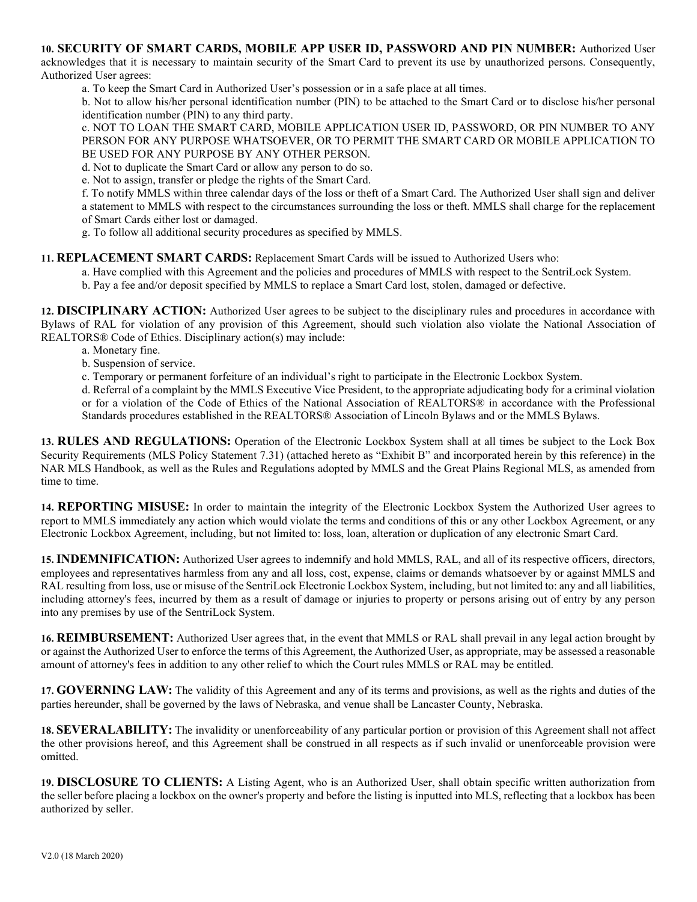10. SECURITY OF SMART CARDS, MOBILE APP USER ID, PASSWORD AND PIN NUMBER: Authorized User acknowledges that it is necessary to maintain security of the Smart Card to prevent its use by unauthorized persons. Consequently, Authorized User agrees:

a. To keep the Smart Card in Authorized User's possession or in a safe place at all times.

b. Not to allow his/her personal identification number (PIN) to be attached to the Smart Card or to disclose his/her personal identification number (PIN) to any third party.

c. NOT TO LOAN THE SMART CARD, MOBILE APPLICATION USER ID, PASSWORD, OR PIN NUMBER TO ANY PERSON FOR ANY PURPOSE WHATSOEVER, OR TO PERMIT THE SMART CARD OR MOBILE APPLICATION TO BE USED FOR ANY PURPOSE BY ANY OTHER PERSON.

d. Not to duplicate the Smart Card or allow any person to do so.

e. Not to assign, transfer or pledge the rights of the Smart Card.

f. To notify MMLS within three calendar days of the loss or theft of a Smart Card. The Authorized User shall sign and deliver a statement to MMLS with respect to the circumstances surrounding the loss or theft. MMLS shall charge for the replacement of Smart Cards either lost or damaged.

g. To follow all additional security procedures as specified by MMLS.

## 11. REPLACEMENT SMART CARDS: Replacement Smart Cards will be issued to Authorized Users who:

- a. Have complied with this Agreement and the policies and procedures of MMLS with respect to the SentriLock System.
- b. Pay a fee and/or deposit specified by MMLS to replace a Smart Card lost, stolen, damaged or defective.

12. DISCIPLINARY ACTION: Authorized User agrees to be subject to the disciplinary rules and procedures in accordance with Bylaws of RAL for violation of any provision of this Agreement, should such violation also violate the National Association of REALTORS® Code of Ethics. Disciplinary action(s) may include:

- a. Monetary fine.
- b. Suspension of service.
- c. Temporary or permanent forfeiture of an individual's right to participate in the Electronic Lockbox System.

d. Referral of a complaint by the MMLS Executive Vice President, to the appropriate adjudicating body for a criminal violation or for a violation of the Code of Ethics of the National Association of REALTORS® in accordance with the Professional Standards procedures established in the REALTORS® Association of Lincoln Bylaws and or the MMLS Bylaws.

13. RULES AND REGULATIONS: Operation of the Electronic Lockbox System shall at all times be subject to the Lock Box Security Requirements (MLS Policy Statement 7.31) (attached hereto as "Exhibit B" and incorporated herein by this reference) in the NAR MLS Handbook, as well as the Rules and Regulations adopted by MMLS and the Great Plains Regional MLS, as amended from time to time.

14. REPORTING MISUSE: In order to maintain the integrity of the Electronic Lockbox System the Authorized User agrees to report to MMLS immediately any action which would violate the terms and conditions of this or any other Lockbox Agreement, or any Electronic Lockbox Agreement, including, but not limited to: loss, loan, alteration or duplication of any electronic Smart Card.

15. INDEMNIFICATION: Authorized User agrees to indemnify and hold MMLS, RAL, and all of its respective officers, directors, employees and representatives harmless from any and all loss, cost, expense, claims or demands whatsoever by or against MMLS and RAL resulting from loss, use or misuse of the SentriLock Electronic Lockbox System, including, but not limited to: any and all liabilities, including attorney's fees, incurred by them as a result of damage or injuries to property or persons arising out of entry by any person into any premises by use of the SentriLock System.

16. REIMBURSEMENT: Authorized User agrees that, in the event that MMLS or RAL shall prevail in any legal action brought by or against the Authorized User to enforce the terms of this Agreement, the Authorized User, as appropriate, may be assessed a reasonable amount of attorney's fees in addition to any other relief to which the Court rules MMLS or RAL may be entitled.

17. GOVERNING LAW: The validity of this Agreement and any of its terms and provisions, as well as the rights and duties of the parties hereunder, shall be governed by the laws of Nebraska, and venue shall be Lancaster County, Nebraska.

18. SEVERALABILITY: The invalidity or unenforceability of any particular portion or provision of this Agreement shall not affect the other provisions hereof, and this Agreement shall be construed in all respects as if such invalid or unenforceable provision were omitted.

19. DISCLOSURE TO CLIENTS: A Listing Agent, who is an Authorized User, shall obtain specific written authorization from the seller before placing a lockbox on the owner's property and before the listing is inputted into MLS, reflecting that a lockbox has been authorized by seller.